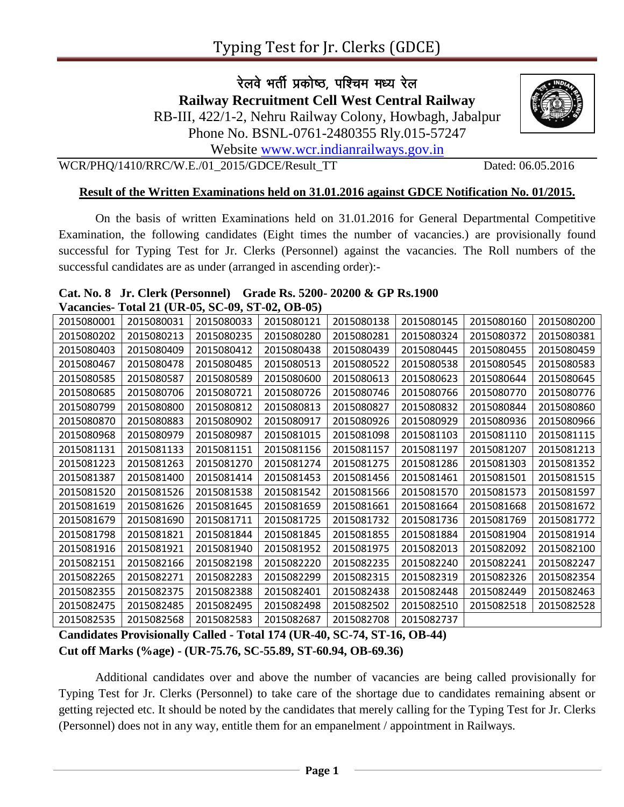रेलवे भर्ती प्रकोष्ठ, पश्चिम मध्य रेल **Railway Recruitment Cell West Central Railway** RB-III, 422/1-2, Nehru Railway Colony, Howbagh, Jabalpur

Phone No. BSNL-0761-2480355 Rly.015-57247

Website [www.wcr.indianrailways.gov.in](http://www.wcr.indianrailways.gov.in/)

WCR/PHQ/1410/RRC/W.E./01\_2015/GDCE/Result\_TT Dated: 06.05.2016

## **Result of the Written Examinations held on 31.01.2016 against GDCE Notification No. 01/2015.**

On the basis of written Examinations held on 31.01.2016 for General Departmental Competitive Examination, the following candidates (Eight times the number of vacancies.) are provisionally found successful for Typing Test for Jr. Clerks (Personnel) against the vacancies. The Roll numbers of the successful candidates are as under (arranged in ascending order):-

## **Cat. No. 8 Jr. Clerk (Personnel) Grade Rs. 5200- 20200 & GP Rs.1900 Vacancies- Total 21 (UR-05, SC-09, ST-02, OB-05)**

| 2015080001 | 2015080031 | 2015080033 | 2015080121 | 2015080138 | 2015080145 | 2015080160 | 2015080200 |
|------------|------------|------------|------------|------------|------------|------------|------------|
| 2015080202 | 2015080213 | 2015080235 | 2015080280 | 2015080281 | 2015080324 | 2015080372 | 2015080381 |
| 2015080403 | 2015080409 | 2015080412 | 2015080438 | 2015080439 | 2015080445 | 2015080455 | 2015080459 |
| 2015080467 | 2015080478 | 2015080485 | 2015080513 | 2015080522 | 2015080538 | 2015080545 | 2015080583 |
| 2015080585 | 2015080587 | 2015080589 | 2015080600 | 2015080613 | 2015080623 | 2015080644 | 2015080645 |
| 2015080685 | 2015080706 | 2015080721 | 2015080726 | 2015080746 | 2015080766 | 2015080770 | 2015080776 |
| 2015080799 | 2015080800 | 2015080812 | 2015080813 | 2015080827 | 2015080832 | 2015080844 | 2015080860 |
| 2015080870 | 2015080883 | 2015080902 | 2015080917 | 2015080926 | 2015080929 | 2015080936 | 2015080966 |
| 2015080968 | 2015080979 | 2015080987 | 2015081015 | 2015081098 | 2015081103 | 2015081110 | 2015081115 |
| 2015081131 | 2015081133 | 2015081151 | 2015081156 | 2015081157 | 2015081197 | 2015081207 | 2015081213 |
| 2015081223 | 2015081263 | 2015081270 | 2015081274 | 2015081275 | 2015081286 | 2015081303 | 2015081352 |
| 2015081387 | 2015081400 | 2015081414 | 2015081453 | 2015081456 | 2015081461 | 2015081501 | 2015081515 |
| 2015081520 | 2015081526 | 2015081538 | 2015081542 | 2015081566 | 2015081570 | 2015081573 | 2015081597 |
| 2015081619 | 2015081626 | 2015081645 | 2015081659 | 2015081661 | 2015081664 | 2015081668 | 2015081672 |
| 2015081679 | 2015081690 | 2015081711 | 2015081725 | 2015081732 | 2015081736 | 2015081769 | 2015081772 |
| 2015081798 | 2015081821 | 2015081844 | 2015081845 | 2015081855 | 2015081884 | 2015081904 | 2015081914 |
| 2015081916 | 2015081921 | 2015081940 | 2015081952 | 2015081975 | 2015082013 | 2015082092 | 2015082100 |
| 2015082151 | 2015082166 | 2015082198 | 2015082220 | 2015082235 | 2015082240 | 2015082241 | 2015082247 |
| 2015082265 | 2015082271 | 2015082283 | 2015082299 | 2015082315 | 2015082319 | 2015082326 | 2015082354 |
| 2015082355 | 2015082375 | 2015082388 | 2015082401 | 2015082438 | 2015082448 | 2015082449 | 2015082463 |
| 2015082475 | 2015082485 | 2015082495 | 2015082498 | 2015082502 | 2015082510 | 2015082518 | 2015082528 |
| 2015082535 | 2015082568 | 2015082583 | 2015082687 | 2015082708 | 2015082737 |            |            |

**Candidates Provisionally Called - Total 174 (UR-40, SC-74, ST-16, OB-44) Cut off Marks (%age) - (UR-75.76, SC-55.89, ST-60.94, OB-69.36)**

Additional candidates over and above the number of vacancies are being called provisionally for Typing Test for Jr. Clerks (Personnel) to take care of the shortage due to candidates remaining absent or getting rejected etc. It should be noted by the candidates that merely calling for the Typing Test for Jr. Clerks (Personnel) does not in any way, entitle them for an empanelment / appointment in Railways.